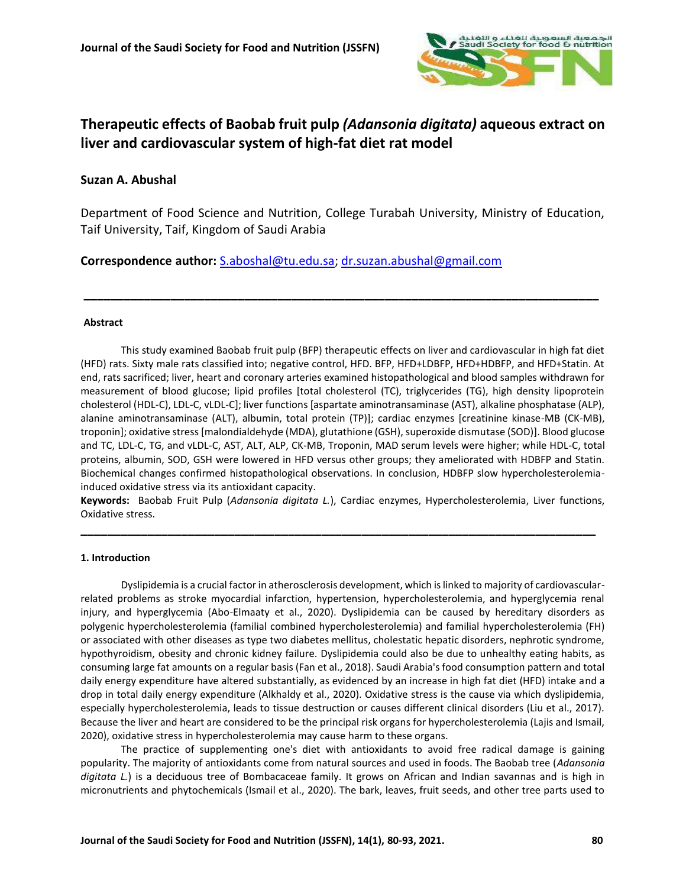

# **Therapeutic effects of Baobab fruit pulp** *(Adansonia digitata)* **aqueous extract on liver and cardiovascular system of high-fat diet rat model**

# **Suzan A. Abushal**

Department of Food Science and Nutrition, College Turabah University, Ministry of Education, Taif University, Taif, Kingdom of Saudi Arabia

**\_\_\_\_\_\_\_\_\_\_\_\_\_\_\_\_\_\_\_\_\_\_\_\_\_\_\_\_\_\_\_\_\_\_\_\_\_\_\_\_\_\_\_\_\_\_\_\_\_\_\_\_\_\_\_\_\_\_\_\_\_\_\_\_\_\_\_\_\_\_\_\_\_\_\_\_\_**

**Correspondence author:** [S.aboshal@tu.edu.sa;](mailto:S.aboshal@tu.edu.sa) [dr.suzan.abushal@gmail.com](mailto:dr.suzan.abushal@gmail.com)

### **Abstract**

This study examined Baobab fruit pulp (BFP) therapeutic effects on liver and cardiovascular in high fat diet (HFD) rats. Sixty male rats classified into; negative control, HFD. BFP, HFD+LDBFP, HFD+HDBFP, and HFD+Statin. At end, rats sacrificed; liver, heart and coronary arteries examined histopathological and blood samples withdrawn for measurement of blood glucose; lipid profiles [total cholesterol (TC), triglycerides (TG), high density lipoprotein cholesterol (HDL-C), LDL-C, vLDL-C]; liver functions [aspartate aminotransaminase (AST), alkaline phosphatase (ALP), alanine aminotransaminase (ALT), albumin, total protein (TP)]; cardiac enzymes [creatinine kinase-MB (CK-MB), troponin]; oxidative stress [malondialdehyde (MDA), glutathione (GSH), superoxide dismutase (SOD)]. Blood glucose and TC, LDL-C, TG, and vLDL-C, AST, ALT, ALP, CK-MB, Troponin, MAD serum levels were higher; while HDL-C, total proteins, albumin, SOD, GSH were lowered in HFD versus other groups; they ameliorated with HDBFP and Statin. Biochemical changes confirmed histopathological observations. In conclusion, HDBFP slow hypercholesterolemiainduced oxidative stress via its antioxidant capacity.

**Keywords:** Baobab Fruit Pulp (*Adansonia digitata L.*), Cardiac enzymes, Hypercholesterolemia, Liver functions, Oxidative stress.

**\_\_\_\_\_\_\_\_\_\_\_\_\_\_\_\_\_\_\_\_\_\_\_\_\_\_\_\_\_\_\_\_\_\_\_\_\_\_\_\_\_\_\_\_\_\_\_\_\_\_\_\_\_\_\_\_\_\_\_\_\_\_\_\_\_\_\_\_\_\_\_\_\_\_\_\_\_**

### **1. Introduction**

Dyslipidemia is a crucial factor in atherosclerosis development, which is linked to majority of cardiovascularrelated problems as stroke myocardial infarction, hypertension, hypercholesterolemia, and hyperglycemia renal injury, and hyperglycemia (Abo-Elmaaty et al., 2020). Dyslipidemia can be caused by hereditary disorders as polygenic hypercholesterolemia (familial combined hypercholesterolemia) and familial hypercholesterolemia (FH) or associated with other diseases as type two diabetes mellitus, cholestatic hepatic disorders, nephrotic syndrome, hypothyroidism, obesity and chronic kidney failure. Dyslipidemia could also be due to unhealthy eating habits, as consuming large fat amounts on a regular basis (Fan et al., 2018). Saudi Arabia's food consumption pattern and total daily energy expenditure have altered substantially, as evidenced by an increase in high fat diet (HFD) intake and a drop in total daily energy expenditure (Alkhaldy et al., 2020). Oxidative stress is the cause via which dyslipidemia, especially hypercholesterolemia, leads to tissue destruction or causes different clinical disorders (Liu et al., 2017). Because the liver and heart are considered to be the principal risk organs for hypercholesterolemia (Lajis and Ismail, 2020), oxidative stress in hypercholesterolemia may cause harm to these organs.

The practice of supplementing one's diet with antioxidants to avoid free radical damage is gaining popularity. The majority of antioxidants come from natural sources and used in foods. The Baobab tree (*Adansonia digitata L.*) is a deciduous tree of Bombacaceae family. It grows on African and Indian savannas and is high in micronutrients and phytochemicals (Ismail et al., 2020). The bark, leaves, fruit seeds, and other tree parts used to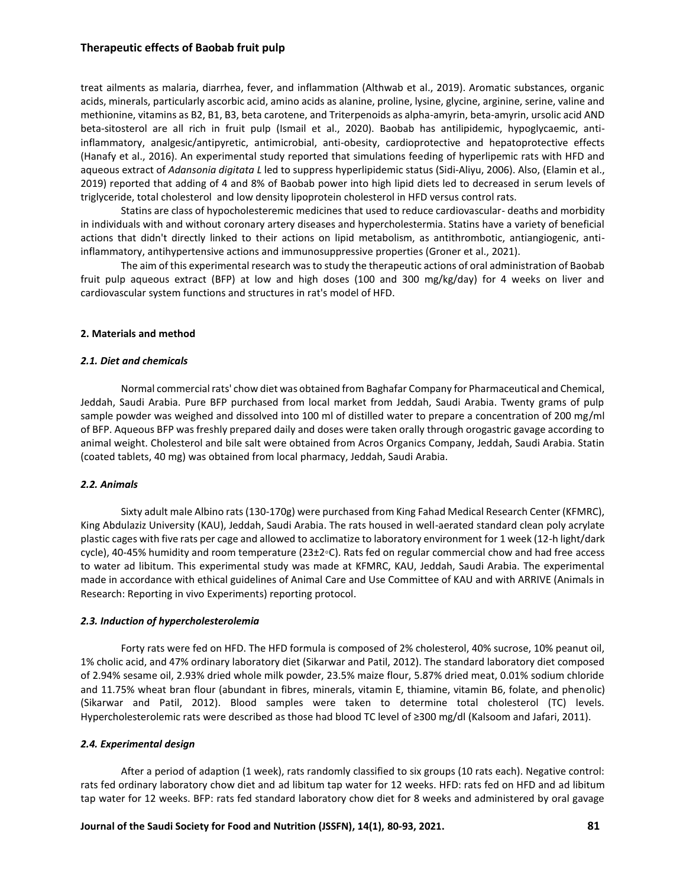treat ailments as malaria, diarrhea, fever, and inflammation (Althwab et al., 2019). Aromatic substances, organic acids, minerals, particularly ascorbic acid, amino acids as alanine, proline, lysine, glycine, arginine, serine, valine and methionine, vitamins as B2, B1, B3, beta carotene, and Triterpenoids as alpha-amyrin, beta-amyrin, ursolic acid AND beta-sitosterol are all rich in fruit pulp (Ismail et al., 2020). Baobab has antilipidemic, hypoglycaemic, antiinflammatory, analgesic/antipyretic, antimicrobial, anti-obesity, cardioprotective and hepatoprotective effects (Hanafy et al., 2016). An experimental study reported that simulations feeding of hyperlipemic rats with HFD and aqueous extract of *Adansonia digitata L* led to suppress hyperlipidemic status (Sidi-Aliyu, 2006). Also, (Elamin et al., 2019) reported that adding of 4 and 8% of Baobab power into high lipid diets led to decreased in serum levels of triglyceride, total cholesterol and low density lipoprotein cholesterol in HFD versus control rats.

Statins are class of hypocholesteremic medicines that used to reduce cardiovascular- deaths and morbidity in individuals with and without coronary artery diseases and hypercholestermia. Statins have a variety of beneficial actions that didn't directly linked to their actions on lipid metabolism, as antithrombotic, antiangiogenic, antiinflammatory, antihypertensive actions and immunosuppressive properties (Groner et al., 2021).

The aim of this experimental research was to study the therapeutic actions of oral administration of Baobab fruit pulp aqueous extract (BFP) at low and high doses (100 and 300 mg/kg/day) for 4 weeks on liver and cardiovascular system functions and structures in rat's model of HFD.

### **2. Materials and method**

#### *2.1. Diet and chemicals*

Normal commercial rats' chow diet was obtained from Baghafar Company for Pharmaceutical and Chemical, Jeddah, Saudi Arabia. Pure BFP purchased from local market from Jeddah, Saudi Arabia. Twenty grams of pulp sample powder was weighed and dissolved into 100 ml of distilled water to prepare a concentration of 200 mg/ml of BFP. Aqueous BFP was freshly prepared daily and doses were taken orally through orogastric gavage according to animal weight. Cholesterol and bile salt were obtained from Acros Organics Company, Jeddah, Saudi Arabia. Statin (coated tablets, 40 mg) was obtained from local pharmacy, Jeddah, Saudi Arabia.

### *2.2. Animals*

Sixty adult male Albino rats (130-170g) were purchased from King Fahad Medical Research Center (KFMRC), King Abdulaziz University (KAU), Jeddah, Saudi Arabia. The rats housed in well-aerated standard clean poly acrylate plastic cages with five rats per cage and allowed to acclimatize to laboratory environment for 1 week (12-h light/dark cycle), 40-45% humidity and room temperature (23±2◦C). Rats fed on regular commercial chow and had free access to water ad libitum. This experimental study was made at KFMRC, KAU, Jeddah, Saudi Arabia. The experimental made in accordance with ethical guidelines of Animal Care and Use Committee of KAU and with ARRIVE (Animals in Research: Reporting in vivo Experiments) reporting protocol.

### *2.3. Induction of hypercholesterolemia*

Forty rats were fed on HFD. The HFD formula is composed of 2% cholesterol, 40% sucrose, 10% peanut oil, 1% cholic acid, and 47% ordinary laboratory diet (Sikarwar and Patil, 2012). The standard laboratory diet composed of 2.94% sesame oil, 2.93% dried whole milk powder, 23.5% maize flour, 5.87% dried meat, 0.01% sodium chloride and 11.75% wheat bran flour (abundant in fibres, minerals, vitamin E, thiamine, vitamin B6, folate, and phenolic) (Sikarwar and Patil, 2012). Blood samples were taken to determine total cholesterol (TC) levels. Hypercholesterolemic rats were described as those had blood TC level of ≥300 mg/dl (Kalsoom and Jafari, 2011).

### *2.4. Experimental design*

After a period of adaption (1 week), rats randomly classified to six groups (10 rats each). Negative control: rats fed ordinary laboratory chow diet and ad libitum tap water for 12 weeks. HFD: rats fed on HFD and ad libitum tap water for 12 weeks. BFP: rats fed standard laboratory chow diet for 8 weeks and administered by oral gavage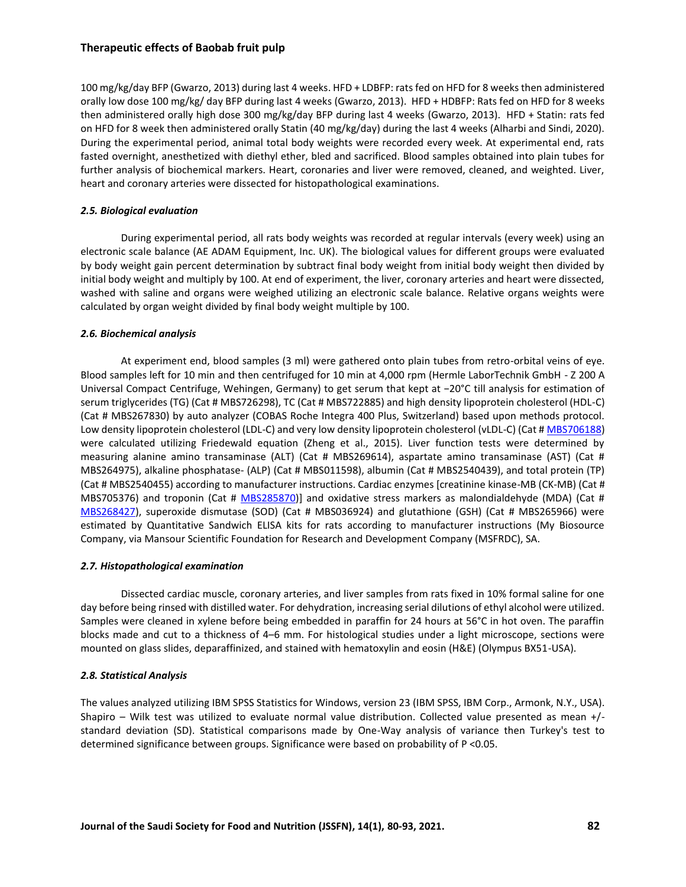100 mg/kg/day BFP (Gwarzo, 2013) during last 4 weeks. HFD + LDBFP: rats fed on HFD for 8 weeks then administered orally low dose 100 mg/kg/ day BFP during last 4 weeks (Gwarzo, 2013). HFD + HDBFP: Rats fed on HFD for 8 weeks then administered orally high dose 300 mg/kg/day BFP during last 4 weeks (Gwarzo, 2013). HFD + Statin: rats fed on HFD for 8 week then administered orally Statin (40 mg/kg/day) during the last 4 weeks (Alharbi and Sindi, 2020). During the experimental period, animal total body weights were recorded every week. At experimental end, rats fasted overnight, anesthetized with diethyl ether, bled and sacrificed. Blood samples obtained into plain tubes for further analysis of biochemical markers. Heart, coronaries and liver were removed, cleaned, and weighted. Liver, heart and coronary arteries were dissected for histopathological examinations.

### *2.5. Biological evaluation*

During experimental period, all rats body weights was recorded at regular intervals (every week) using an electronic scale balance (AE ADAM Equipment, Inc. UK). The biological values for different groups were evaluated by body weight gain percent determination by subtract final body weight from initial body weight then divided by initial body weight and multiply by 100. At end of experiment, the liver, coronary arteries and heart were dissected, washed with saline and organs were weighed utilizing an electronic scale balance. Relative organs weights were calculated by organ weight divided by final body weight multiple by 100.

### *2.6. Biochemical analysis*

At experiment end, blood samples (3 ml) were gathered onto plain tubes from retro-orbital veins of eye. Blood samples left for 10 min and then centrifuged for 10 min at 4,000 rpm (Hermle LaborTechnik GmbH - Z 200 A Universal Compact Centrifuge, Wehingen, Germany) to get serum that kept at −20°C till analysis for estimation of serum triglycerides (TG) (Cat # MBS726298), TC (Cat # MBS722885) and high density lipoprotein cholesterol (HDL-C) (Cat # MBS267830) by auto analyzer (COBAS Roche Integra 400 Plus, Switzerland) based upon methods protocol. Low density lipoprotein cholesterol (LDL-C) and very low density lipoprotein cholesterol (vLDL-C) (Cat [# MBS706188\)](https://www.mybiosource.com/rat-elisa-kits/very-low-density-lipoprotein-vldl/706188) were calculated utilizing Friedewald equation (Zheng et al., 2015). Liver function tests were determined by measuring alanine amino transaminase (ALT) (Cat # MBS269614), aspartate amino transaminase (AST) (Cat # MBS264975), alkaline phosphatase- (ALP) (Cat # MBS011598), albumin (Cat # MBS2540439), and total protein (TP) (Cat # MBS2540455) according to manufacturer instructions. Cardiac enzymes [creatinine kinase-MB (CK-MB) (Cat # MBS705376) and troponin (Cat # [MBS285870\)](https://www.mybiosource.com/ctn-i-rat-elisa-kits/cardiac-troponin-i/285870)] and oxidative stress markers as malondialdehyde (MDA) (Cat # [MBS268427\)](https://www.mybiosource.com/rat-elisa-kits/malondialdehyde-mda/268427), superoxide dismutase (SOD) (Cat # MBS036924) and glutathione (GSH) (Cat # MBS265966) were estimated by Quantitative Sandwich ELISA kits for rats according to manufacturer instructions (My Biosource Company, via Mansour Scientific Foundation for Research and Development Company (MSFRDC), SA.

### *2.7. Histopathological examination*

Dissected cardiac muscle, coronary arteries, and liver samples from rats fixed in 10% formal saline for one day before being rinsed with distilled water. For dehydration, increasing serial dilutions of ethyl alcohol were utilized. Samples were cleaned in xylene before being embedded in paraffin for 24 hours at 56°C in hot oven. The paraffin blocks made and cut to a thickness of 4–6 mm. For histological studies under a light microscope, sections were mounted on glass slides, deparaffinized, and stained with hematoxylin and eosin (H&E) (Olympus BX51-USA).

### *2.8. Statistical Analysis*

The values analyzed utilizing IBM SPSS Statistics for Windows, version 23 (IBM SPSS, IBM Corp., Armonk, N.Y., USA). Shapiro – Wilk test was utilized to evaluate normal value distribution. Collected value presented as mean +/ standard deviation (SD). Statistical comparisons made by One-Way analysis of variance then Turkey's test to determined significance between groups. Significance were based on probability of P <0.05.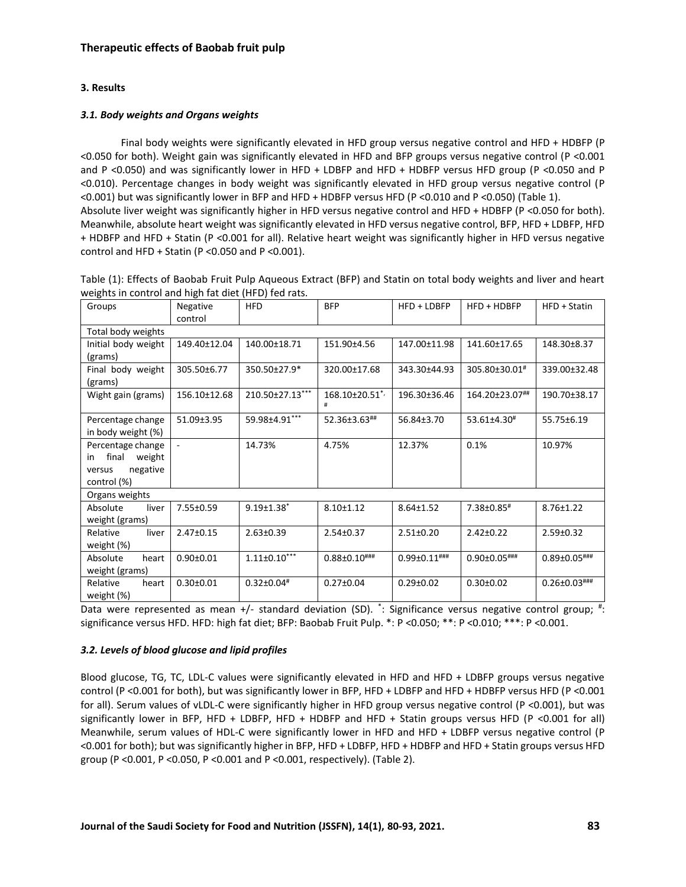# **3. Results**

# *3.1. Body weights and Organs weights*

Final body weights were significantly elevated in HFD group versus negative control and HFD + HDBFP (P <0.050 for both). Weight gain was significantly elevated in HFD and BFP groups versus negative control (P <0.001 and P <0.050) and was significantly lower in HFD + LDBFP and HFD + HDBFP versus HFD group (P <0.050 and P <0.010). Percentage changes in body weight was significantly elevated in HFD group versus negative control (P <0.001) but was significantly lower in BFP and HFD + HDBFP versus HFD (P <0.010 and P <0.050) (Table 1). Absolute liver weight was significantly higher in HFD versus negative control and HFD + HDBFP (P <0.050 for both). Meanwhile, absolute heart weight was significantly elevated in HFD versus negative control, BFP, HFD + LDBFP, HFD + HDBFP and HFD + Statin (P <0.001 for all). Relative heart weight was significantly higher in HFD versus negative control and HFD + Statin (P <0.050 and P <0.001).

| Table (1): Effects of Baobab Fruit Pulp Aqueous Extract (BFP) and Statin on total body weights and liver and heart |          |            |            |               |               |              |  |  |
|--------------------------------------------------------------------------------------------------------------------|----------|------------|------------|---------------|---------------|--------------|--|--|
| weights in control and high fat diet (HFD) fed rats.                                                               |          |            |            |               |               |              |  |  |
| Groups                                                                                                             | Negative | <b>HFD</b> | <b>BFP</b> | $HFD + LDBFP$ | $HPD + HDBFP$ | HFD + Statin |  |  |

| Groups                                                                          | <b>Negative</b><br>control | HFD                | BFP                            | $HFD + LDBFP$       | $HFD + HDBFP$       | HFD + Statin        |  |  |
|---------------------------------------------------------------------------------|----------------------------|--------------------|--------------------------------|---------------------|---------------------|---------------------|--|--|
| Total body weights                                                              |                            |                    |                                |                     |                     |                     |  |  |
| Initial body weight<br>(grams)                                                  | 149.40±12.04               | 140.00±18.71       | 151.90±4.56                    | 147.00±11.98        | 141.60±17.65        | 148.30±8.37         |  |  |
| Final body weight<br>(grams)                                                    | 305.50±6.77                | 350.50±27.9*       | 320.00±17.68                   | 343.30±44.93        | 305.80±30.01#       | 339.00±32.48        |  |  |
| Wight gain (grams)                                                              | 156.10±12.68               | 210.50±27.13***    | 168.10±20.51 <sup>*</sup><br># | 196.30±36.46        | 164.20±23.07##      | 190.70±38.17        |  |  |
| Percentage change<br>in body weight (%)                                         | 51.09±3.95                 | 59.98±4.91***      | 52.36±3.63##                   | 56.84±3.70          | 53.61±4.30#         | 55.75±6.19          |  |  |
| Percentage change<br>final<br>weight<br>in<br>negative<br>versus<br>control (%) | $\blacksquare$             | 14.73%             | 4.75%                          | 12.37%              | 0.1%                | 10.97%              |  |  |
| Organs weights                                                                  |                            |                    |                                |                     |                     |                     |  |  |
| Absolute<br>liver<br>weight (grams)                                             | 7.55±0.59                  | $9.19 \pm 1.38$ *  | $8.10 \pm 1.12$                | $8.64 \pm 1.52$     | 7.38±0.85#          | $8.76 \pm 1.22$     |  |  |
| Relative<br>liver<br>weight (%)                                                 | $2.47 \pm 0.15$            | $2.63 \pm 0.39$    | $2.54 \pm 0.37$                | $2.51 \pm 0.20$     | $2.42 \pm 0.22$     | $2.59 \pm 0.32$     |  |  |
| Absolute<br>heart<br>weight (grams)                                             | $0.90 + 0.01$              | $1.11 \pm 0.10***$ | $0.88 \pm 0.10$ ###            | $0.99 \pm 0.11$ ### | $0.90 \pm 0.05$ ### | $0.89 \pm 0.05$ ### |  |  |
| Relative<br>heart<br>weight (%)                                                 | $0.30 \pm 0.01$            | $0.32 \pm 0.04$ #  | $0.27 \pm 0.04$                | $0.29 \pm 0.02$     | $0.30 \pm 0.02$     | $0.26 \pm 0.03$ ### |  |  |

Data were represented as mean +/- standard deviation (SD).  $\dot{ }$ : Significance versus negative control group; #: significance versus HFD. HFD: high fat diet; BFP: Baobab Fruit Pulp. \*: P <0.050; \*\*: P <0.010; \*\*\*: P <0.001.

### *3.2. Levels of blood glucose and lipid profiles*

Blood glucose, TG, TC, LDL-C values were significantly elevated in HFD and HFD + LDBFP groups versus negative control (P <0.001 for both), but was significantly lower in BFP, HFD + LDBFP and HFD + HDBFP versus HFD (P <0.001 for all). Serum values of vLDL-C were significantly higher in HFD group versus negative control (P <0.001), but was significantly lower in BFP, HFD + LDBFP, HFD + HDBFP and HFD + Statin groups versus HFD (P <0.001 for all) Meanwhile, serum values of HDL-C were significantly lower in HFD and HFD + LDBFP versus negative control (P <0.001 for both); but was significantly higher in BFP, HFD + LDBFP, HFD + HDBFP and HFD + Statin groups versus HFD group (P <0.001, P <0.050, P <0.001 and P <0.001, respectively). (Table 2).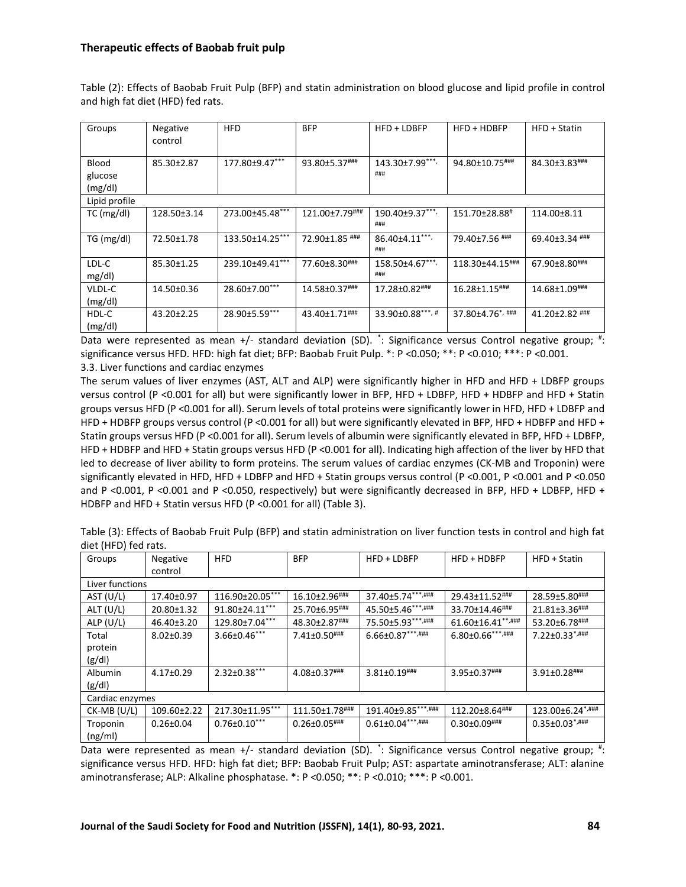Table (2): Effects of Baobab Fruit Pulp (BFP) and statin administration on blood glucose and lipid profile in control and high fat diet (HFD) fed rats.

| Groups        | Negative<br>control | <b>HFD</b>      | <b>BFP</b>     | HFD + LDBFP                 | $HFD + HDBFP$               | $HFD + Statin$ |
|---------------|---------------------|-----------------|----------------|-----------------------------|-----------------------------|----------------|
| Blood         | 85.30±2.87          | 177.80±9.47***  | 93.80±5.37###  | 143.30±7.99***,<br>###      | 94.80±10.75###              | 84.30±3.83###  |
| glucose       |                     |                 |                |                             |                             |                |
| (mg/dl)       |                     |                 |                |                             |                             |                |
| Lipid profile |                     |                 |                |                             |                             |                |
| $TC$ (mg/dl)  | 128.50±3.14         | 273.00±45.48*** | 121.00±7.79### | $190.40 \pm 9.37***$<br>### | 151.70±28.88#               | 114.00±8.11    |
| TG (mg/dl)    | 72.50±1.78          | 133.50±14.25*** | 72.90±1.85 ### | 86.40±4.11***,<br>###       | 79.40±7.56 ###              | 69.40±3.34 ### |
| LDL-C         | 85.30±1.25          | 239.10±49.41*** | 77.60±8.30###  | 158.50±4.67***,             | 118.30±44.15###             | 67.90±8.80###  |
| mg/dl         |                     |                 |                | ###                         |                             |                |
| VLDL-C        | 14.50±0.36          | 28.60±7.00***   | 14.58±0.37###  | 17.28±0.82###               | 16.28±1.15###               | 14.68±1.09###  |
| (mg/dl)       |                     |                 |                |                             |                             |                |
| HDL-C         | 43.20±2.25          | 28.90±5.59***   | 43.40±1.71###  | $33.90\pm0.88***$           | 37.80±4.76 <sup>*,###</sup> | 41.20±2.82 ### |
| (mg/dl)       |                     |                 |                |                             |                             |                |

Data were represented as mean +/- standard deviation (SD).  $\dot{ }$ : Significance versus Control negative group; #: significance versus HFD. HFD: high fat diet; BFP: Baobab Fruit Pulp. \*: P <0.050; \*\*: P <0.010; \*\*\*: P <0.001. 3.3. Liver functions and cardiac enzymes

The serum values of liver enzymes (AST, ALT and ALP) were significantly higher in HFD and HFD + LDBFP groups versus control (P <0.001 for all) but were significantly lower in BFP, HFD + LDBFP, HFD + HDBFP and HFD + Statin groups versus HFD (P <0.001 for all). Serum levels of total proteins were significantly lower in HFD, HFD + LDBFP and HFD + HDBFP groups versus control (P <0.001 for all) but were significantly elevated in BFP, HFD + HDBFP and HFD + Statin groups versus HFD (P <0.001 for all). Serum levels of albumin were significantly elevated in BFP, HFD + LDBFP, HFD + HDBFP and HFD + Statin groups versus HFD (P <0.001 for all). Indicating high affection of the liver by HFD that led to decrease of liver ability to form proteins. The serum values of cardiac enzymes (CK-MB and Troponin) were significantly elevated in HFD, HFD + LDBFP and HFD + Statin groups versus control (P <0.001, P <0.001 and P <0.050 and P <0.001, P <0.001 and P <0.050, respectively) but were significantly decreased in BFP, HFD + LDBFP, HFD + HDBFP and HFD + Statin versus HFD (P <0.001 for all) (Table 3).

Table (3): Effects of Baobab Fruit Pulp (BFP) and statin administration on liver function tests in control and high fat diet (HFD) fed rats.

| Groups          | Negative        | <b>HFD</b>          | <b>BFP</b>          | HFD + LDBFP            | HFD + HDBFP             | HFD + Statin                         |  |
|-----------------|-----------------|---------------------|---------------------|------------------------|-------------------------|--------------------------------------|--|
|                 | control         |                     |                     |                        |                         |                                      |  |
| Liver functions |                 |                     |                     |                        |                         |                                      |  |
| AST (U/L)       | 17.40±0.97      | 116.90±20.05***     | 16.10±2.96###       | 37.40±5.74***,###      | 29.43±11.52###          | 28.59±5.80###                        |  |
| ALT $(U/L)$     | 20.80±1.32      | 91.80±24.11***      | 25.70±6.95###       | 45.50±5.46***,###      | 33.70±14.46###          | 21.81±3.36###                        |  |
| ALP $(U/L)$     | 46.40±3.20      | 129.80±7.04***      | 48.30±2.87###       | 75.50±5.93***,###      | 61.60±16.41**,###       | 53.20±6.78###                        |  |
| Total           | $8.02 \pm 0.39$ | $3.66 \pm 0.46$ *** | 7.41±0.50###        | $6.66 \pm 0.87***$ ### | $6.80 \pm 0.66$ ***,### | $7.22 \pm 0.33$ *,###                |  |
| protein         |                 |                     |                     |                        |                         |                                      |  |
| (g/d)           |                 |                     |                     |                        |                         |                                      |  |
| Albumin         | 4.17±0.29       | $2.32 \pm 0.38$ *** | 4.08±0.37###        | $3.81 \pm 0.19$ ###    | 3.95±0.37###            | $3.91 \pm 0.28$ ###                  |  |
| (g/d)           |                 |                     |                     |                        |                         |                                      |  |
| Cardiac enzymes |                 |                     |                     |                        |                         |                                      |  |
| $CK-MB (U/L)$   | 109.60±2.22     | 217.30±11.95***     | 111.50±1.78###      | 191.40±9.85***,###     | 112.20±8.64###          | $123.00 \pm 6.24$ <sup>*</sup> /**** |  |
| Troponin        | $0.26 \pm 0.04$ | $0.76 \pm 0.10$ *** | $0.26 \pm 0.05$ ### | $0.61 \pm 0.04***$     | $0.30 \pm 0.09$ ###     | $0.35 \pm 0.03$ *,###                |  |
| (ng/ml)         |                 |                     |                     |                        |                         |                                      |  |

Data were represented as mean +/- standard deviation (SD). <sup>\*</sup>: Significance versus Control negative group; <sup>#</sup>: significance versus HFD. HFD: high fat diet; BFP: Baobab Fruit Pulp; AST: aspartate aminotransferase; ALT: alanine aminotransferase; ALP: Alkaline phosphatase. \*: P <0.050; \*\*: P <0.010; \*\*\*: P <0.001.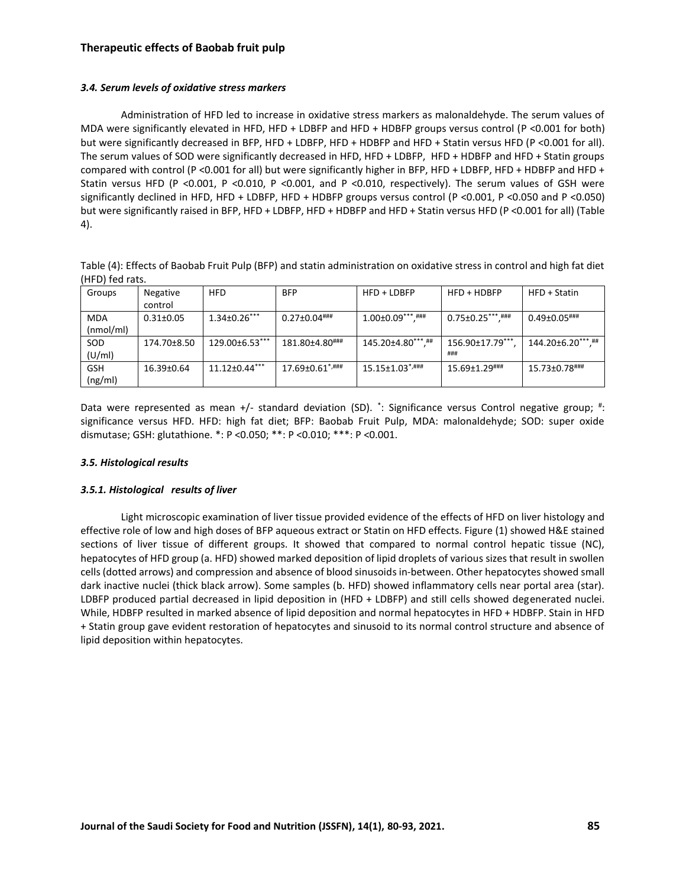# *3.4. Serum levels of oxidative stress markers*

Administration of HFD led to increase in oxidative stress markers as malonaldehyde. The serum values of MDA were significantly elevated in HFD, HFD + LDBFP and HFD + HDBFP groups versus control (P <0.001 for both) but were significantly decreased in BFP, HFD + LDBFP, HFD + HDBFP and HFD + Statin versus HFD (P <0.001 for all). The serum values of SOD were significantly decreased in HFD, HFD + LDBFP, HFD + HDBFP and HFD + Statin groups compared with control (P <0.001 for all) but were significantly higher in BFP, HFD + LDBFP, HFD + HDBFP and HFD + Statin versus HFD (P <0.001, P <0.010, P <0.001, and P <0.010, respectively). The serum values of GSH were significantly declined in HFD, HFD + LDBFP, HFD + HDBFP groups versus control (P <0.001, P <0.050 and P <0.050) but were significantly raised in BFP, HFD + LDBFP, HFD + HDBFP and HFD + Statin versus HFD (P <0.001 for all) (Table 4).

| Table (4): Effects of Baobab Fruit Pulp (BFP) and statin administration on oxidative stress in control and high fat diet |  |
|--------------------------------------------------------------------------------------------------------------------------|--|
| (HFD) fed rats.                                                                                                          |  |

| Groups     | Negative        | <b>HFD</b>          | <b>BFP</b>          | $HFD + LDBFP$                     | $HFD + HDBFP$           | $HFD + Statin$      |
|------------|-----------------|---------------------|---------------------|-----------------------------------|-------------------------|---------------------|
|            | control         |                     |                     |                                   |                         |                     |
| MDA        | $0.31 \pm 0.05$ | $1.34 \pm 0.26$ *** | $0.27 \pm 0.04$ ### |                                   | $0.75 \pm 0.25$ ***.### | $0.49 \pm 0.05$ ### |
| (mmol/ml)  |                 |                     |                     |                                   |                         |                     |
| SOD        | 174.70±8.50     | $129.00\pm6.53***$  | 181.80±4.80###      | 145.20±4.80***.##                 | $156.90 \pm 17.79$ ***  | 144.20±6.20***.##   |
| (U/ml)     |                 |                     |                     |                                   | ###                     |                     |
| <b>GSH</b> | 16.39±0.64      | $11.12 \pm 0.44***$ | 17.69±0.61*,###     | $15.15 \pm 1.03$ <sup>*,###</sup> | 15.69±1.29###           | 15.73±0.78###       |
| (ng/ml)    |                 |                     |                     |                                   |                         |                     |

Data were represented as mean +/- standard deviation (SD).  $\dot{ }$ : Significance versus Control negative group; #: significance versus HFD. HFD: high fat diet; BFP: Baobab Fruit Pulp, MDA: malonaldehyde; SOD: super oxide dismutase; GSH: glutathione. \*: P <0.050; \*\*: P <0.010; \*\*\*: P <0.001.

### *3.5. Histological results*

### *3.5.1. Histological results of liver*

Light microscopic examination of liver tissue provided evidence of the effects of HFD on liver histology and effective role of low and high doses of BFP aqueous extract or Statin on HFD effects. Figure (1) showed H&E stained sections of liver tissue of different groups. It showed that compared to normal control hepatic tissue (NC), hepatocytes of HFD group (a. HFD) showed marked deposition of lipid droplets of various sizes that result in swollen cells (dotted arrows) and compression and absence of blood sinusoids in-between. Other hepatocytes showed small dark inactive nuclei (thick black arrow). Some samples (b. HFD) showed inflammatory cells near portal area (star). LDBFP produced partial decreased in lipid deposition in (HFD + LDBFP) and still cells showed degenerated nuclei. While, HDBFP resulted in marked absence of lipid deposition and normal hepatocytes in HFD + HDBFP. Stain in HFD + Statin group gave evident restoration of hepatocytes and sinusoid to its normal control structure and absence of lipid deposition within hepatocytes.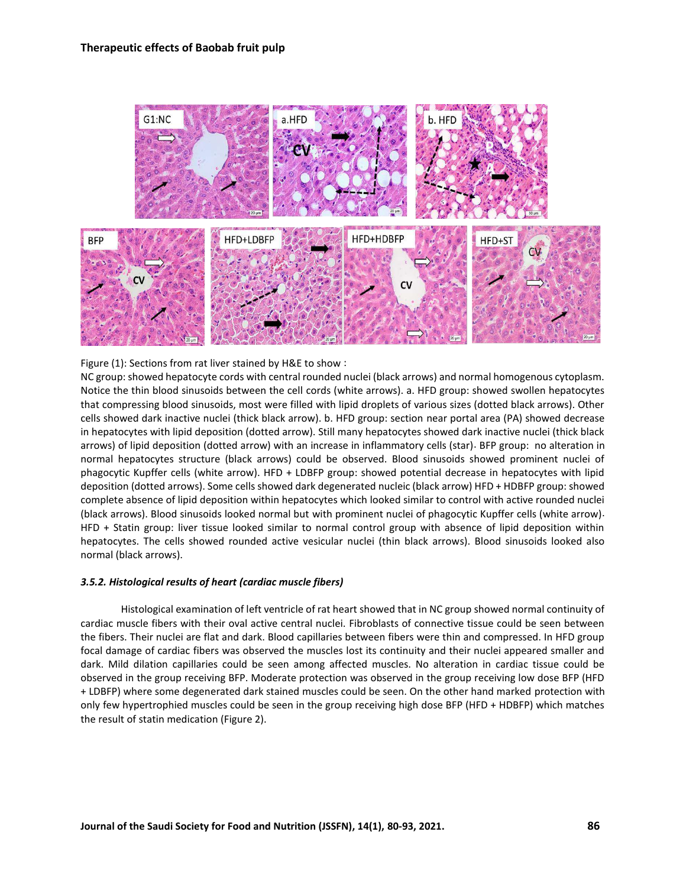

Figure (1): Sections from rat liver stained by H&E to show :

NC group: showed hepatocyte cords with central rounded nuclei (black arrows) and normal homogenous cytoplasm. Notice the thin blood sinusoids between the cell cords (white arrows). a. HFD group: showed swollen hepatocytes that compressing blood sinusoids, most were filled with lipid droplets of various sizes (dotted black arrows). Other cells showed dark inactive nuclei (thick black arrow). b. HFD group: section near portal area (PA) showed decrease in hepatocytes with lipid deposition (dotted arrow). Still many hepatocytes showed dark inactive nuclei (thick black arrows) of lipid deposition (dotted arrow) with an increase in inflammatory cells (star). BFP group: no alteration in normal hepatocytes structure (black arrows) could be observed. Blood sinusoids showed prominent nuclei of phagocytic Kupffer cells (white arrow). HFD + LDBFP group: showed potential decrease in hepatocytes with lipid deposition (dotted arrows). Some cells showed dark degenerated nucleic (black arrow) HFD + HDBFP group: showed complete absence of lipid deposition within hepatocytes which looked similar to control with active rounded nuclei (black arrows). Blood sinusoids looked normal but with prominent nuclei of phagocytic Kupffer cells (white arrow). HFD + Statin group: liver tissue looked similar to normal control group with absence of lipid deposition within hepatocytes. The cells showed rounded active vesicular nuclei (thin black arrows). Blood sinusoids looked also normal (black arrows).

### *3.5.2. Histological results of heart (cardiac muscle fibers)*

Histological examination of left ventricle of rat heart showed that in NC group showed normal continuity of cardiac muscle fibers with their oval active central nuclei. Fibroblasts of connective tissue could be seen between the fibers. Their nuclei are flat and dark. Blood capillaries between fibers were thin and compressed. In HFD group focal damage of cardiac fibers was observed the muscles lost its continuity and their nuclei appeared smaller and dark. Mild dilation capillaries could be seen among affected muscles. No alteration in cardiac tissue could be observed in the group receiving BFP. Moderate protection was observed in the group receiving low dose BFP (HFD + LDBFP) where some degenerated dark stained muscles could be seen. On the other hand marked protection with only few hypertrophied muscles could be seen in the group receiving high dose BFP (HFD + HDBFP) which matches the result of statin medication (Figure 2).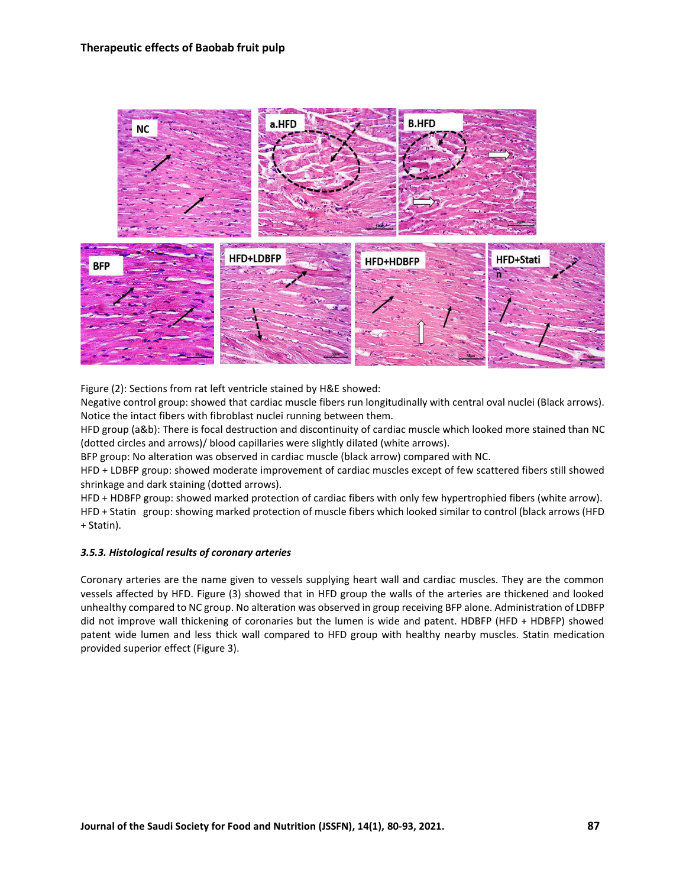

Figure (2): Sections from rat left ventricle stained by H&E showed:

Negative control group: showed that cardiac muscle fibers run longitudinally with central oval nuclei (Black arrows). Notice the intact fibers with fibroblast nuclei running between them.

HFD group (a&b): There is focal destruction and discontinuity of cardiac muscle which looked more stained than NC (dotted circles and arrows)/ blood capillaries were slightly dilated (white arrows).

BFP group: No alteration was observed in cardiac muscle (black arrow) compared with NC.

HFD + LDBFP group: showed moderate improvement of cardiac muscles except of few scattered fibers still showed shrinkage and dark staining (dotted arrows).

HFD + HDBFP group: showed marked protection of cardiac fibers with only few hypertrophied fibers (white arrow). HFD + Statin group: showing marked protection of muscle fibers which looked similar to control (black arrows (HFD + Statin).

### *3.5.3. Histological results of coronary arteries*

Coronary arteries are the name given to vessels supplying heart wall and cardiac muscles. They are the common vessels affected by HFD. Figure (3) showed that in HFD group the walls of the arteries are thickened and looked unhealthy compared to NC group. No alteration was observed in group receiving BFP alone. Administration of LDBFP did not improve wall thickening of coronaries but the lumen is wide and patent. HDBFP (HFD + HDBFP) showed patent wide lumen and less thick wall compared to HFD group with healthy nearby muscles. Statin medication provided superior effect (Figure 3).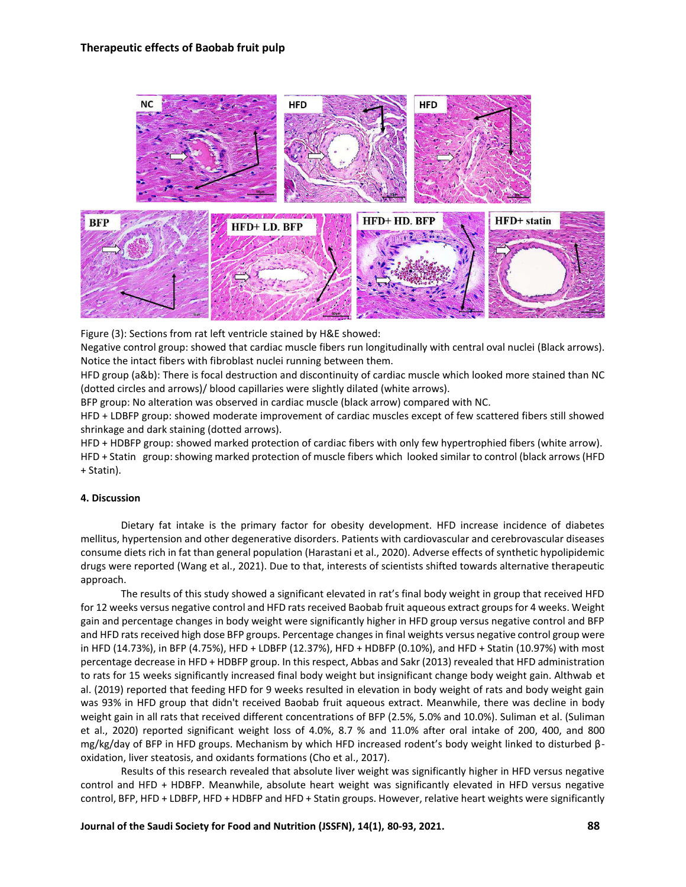

Figure (3): Sections from rat left ventricle stained by H&E showed:

Negative control group: showed that cardiac muscle fibers run longitudinally with central oval nuclei (Black arrows). Notice the intact fibers with fibroblast nuclei running between them.

HFD group (a&b): There is focal destruction and discontinuity of cardiac muscle which looked more stained than NC (dotted circles and arrows)/ blood capillaries were slightly dilated (white arrows).

BFP group: No alteration was observed in cardiac muscle (black arrow) compared with NC.

HFD + LDBFP group: showed moderate improvement of cardiac muscles except of few scattered fibers still showed shrinkage and dark staining (dotted arrows).

HFD + HDBFP group: showed marked protection of cardiac fibers with only few hypertrophied fibers (white arrow). HFD + Statin group: showing marked protection of muscle fibers which looked similar to control (black arrows (HFD + Statin).

### **4. Discussion**

Dietary fat intake is the primary factor for obesity development. HFD increase incidence of diabetes mellitus, hypertension and other degenerative disorders. Patients with cardiovascular and cerebrovascular diseases consume diets rich in fat than general population (Harastani et al., 2020). Adverse effects of synthetic hypolipidemic drugs were reported (Wang et al., 2021). Due to that, interests of scientists shifted towards alternative therapeutic approach.

The results of this study showed a significant elevated in rat's final body weight in group that received HFD for 12 weeks versus negative control and HFD rats received Baobab fruit aqueous extract groups for 4 weeks. Weight gain and percentage changes in body weight were significantly higher in HFD group versus negative control and BFP and HFD rats received high dose BFP groups. Percentage changes in final weights versus negative control group were in HFD (14.73%), in BFP (4.75%), HFD + LDBFP (12.37%), HFD + HDBFP (0.10%), and HFD + Statin (10.97%) with most percentage decrease in HFD + HDBFP group. In this respect, Abbas and Sakr (2013) revealed that HFD administration to rats for 15 weeks significantly increased final body weight but insignificant change body weight gain. Althwab et al. (2019) reported that feeding HFD for 9 weeks resulted in elevation in body weight of rats and body weight gain was 93% in HFD group that didn't received Baobab fruit aqueous extract. Meanwhile, there was decline in body weight gain in all rats that received different concentrations of BFP (2.5%, 5.0% and 10.0%). Suliman et al. (Suliman et al., 2020) reported significant weight loss of 4.0%, 8.7 % and 11.0% after oral intake of 200, 400, and 800 mg/kg/day of BFP in HFD groups. Mechanism by which HFD increased rodent's body weight linked to disturbed βoxidation, liver steatosis, and oxidants formations (Cho et al., 2017).

Results of this research revealed that absolute liver weight was significantly higher in HFD versus negative control and HFD + HDBFP. Meanwhile, absolute heart weight was significantly elevated in HFD versus negative control, BFP, HFD + LDBFP, HFD + HDBFP and HFD + Statin groups. However, relative heart weights were significantly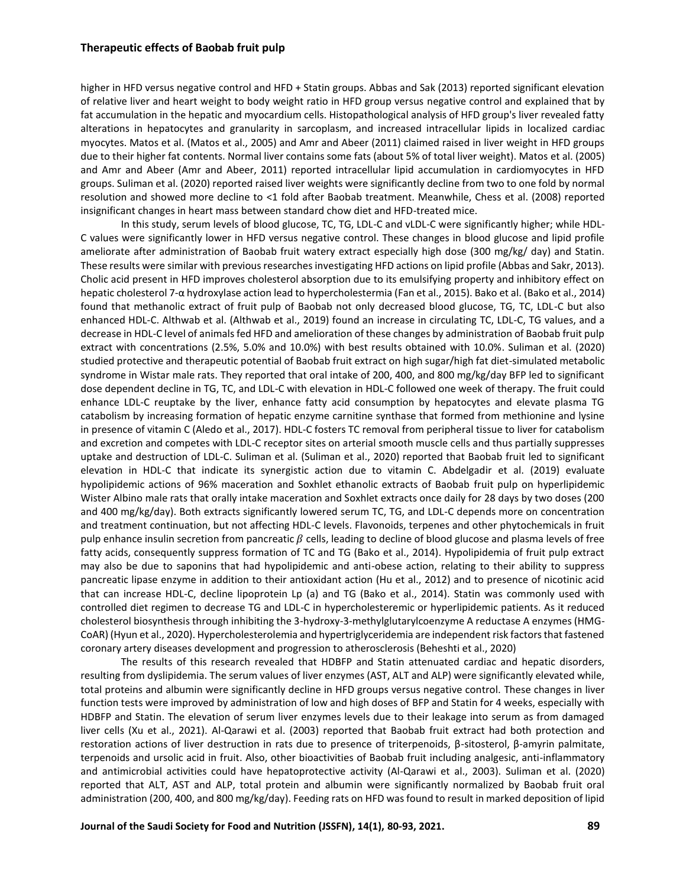higher in HFD versus negative control and HFD + Statin groups. Abbas and Sak (2013) reported significant elevation of relative liver and heart weight to body weight ratio in HFD group versus negative control and explained that by fat accumulation in the hepatic and myocardium cells. Histopathological analysis of HFD group's liver revealed fatty alterations in hepatocytes and granularity in sarcoplasm, and increased intracellular lipids in localized cardiac myocytes. Matos et al. (Matos et al., 2005) and Amr and Abeer (2011) claimed raised in liver weight in HFD groups due to their higher fat contents. Normal liver contains some fats (about 5% of total liver weight). Matos et al. (2005) and Amr and Abeer (Amr and Abeer, 2011) reported intracellular lipid accumulation in cardiomyocytes in HFD groups. Suliman et al. (2020) reported raised liver weights were significantly decline from two to one fold by normal resolution and showed more decline to <1 fold after Baobab treatment. Meanwhile, Chess et al. (2008) reported insignificant changes in heart mass between standard chow diet and HFD-treated mice.

In this study, serum levels of blood glucose, TC, TG, LDL-C and vLDL-C were significantly higher; while HDL-C values were significantly lower in HFD versus negative control. These changes in blood glucose and lipid profile ameliorate after administration of Baobab fruit watery extract especially high dose (300 mg/kg/ day) and Statin. These results were similar with previous researches investigating HFD actions on lipid profile (Abbas and Sakr, 2013). Cholic acid present in HFD improves cholesterol absorption due to its emulsifying property and inhibitory effect on hepatic cholesterol 7-α hydroxylase action lead to hypercholestermia (Fan et al., 2015). Bako et al. (Bako et al., 2014) found that methanolic extract of fruit pulp of Baobab not only decreased blood glucose, TG, TC, LDL-C but also enhanced HDL-C. Althwab et al. (Althwab et al., 2019) found an increase in circulating TC, LDL-C, TG values, and a decrease in HDL-C level of animals fed HFD and amelioration of these changes by administration of Baobab fruit pulp extract with concentrations (2.5%, 5.0% and 10.0%) with best results obtained with 10.0%. Suliman et al. (2020) studied protective and therapeutic potential of Baobab fruit extract on high sugar/high fat diet-simulated metabolic syndrome in Wistar male rats. They reported that oral intake of 200, 400, and 800 mg/kg/day BFP led to significant dose dependent decline in TG, TC, and LDL-C with elevation in HDL-C followed one week of therapy. The fruit could enhance LDL-C reuptake by the liver, enhance fatty acid consumption by hepatocytes and elevate plasma TG catabolism by increasing formation of hepatic enzyme carnitine synthase that formed from methionine and lysine in presence of vitamin C (Aledo et al., 2017). HDL-C fosters TC removal from peripheral tissue to liver for catabolism and excretion and competes with LDL-C receptor sites on arterial smooth muscle cells and thus partially suppresses uptake and destruction of LDL-C. Suliman et al. (Suliman et al., 2020) reported that Baobab fruit led to significant elevation in HDL-C that indicate its synergistic action due to vitamin C. Abdelgadir et al. (2019) evaluate hypolipidemic actions of 96% maceration and Soxhlet ethanolic extracts of Baobab fruit pulp on hyperlipidemic Wister Albino male rats that orally intake maceration and Soxhlet extracts once daily for 28 days by two doses (200 and 400 mg/kg/day). Both extracts significantly lowered serum TC, TG, and LDL-C depends more on concentration and treatment continuation, but not affecting HDL-C levels. Flavonoids, terpenes and other phytochemicals in fruit pulp enhance insulin secretion from pancreatic  $\beta$  cells, leading to decline of blood glucose and plasma levels of free fatty acids, consequently suppress formation of TC and TG (Bako et al., 2014). Hypolipidemia of fruit pulp extract may also be due to saponins that had hypolipidemic and anti-obese action, relating to their ability to suppress pancreatic lipase enzyme in addition to their antioxidant action (Hu et al., 2012) and to presence of nicotinic acid that can increase HDL-C, decline lipoprotein Lp (a) and TG (Bako et al., 2014). Statin was commonly used with controlled diet regimen to decrease TG and LDL-C in hypercholesteremic or hyperlipidemic patients. As it reduced cholesterol biosynthesis through inhibiting the 3-hydroxy-3-methylglutarylcoenzyme A reductase A enzymes (HMG-CoAR) (Hyun et al., 2020). Hypercholesterolemia and hypertriglyceridemia are independent risk factors that fastened coronary artery diseases development and progression to atherosclerosis (Beheshti et al., 2020)

The results of this research revealed that HDBFP and Statin attenuated cardiac and hepatic disorders, resulting from dyslipidemia. The serum values of liver enzymes (AST, ALT and ALP) were significantly elevated while, total proteins and albumin were significantly decline in HFD groups versus negative control. These changes in liver function tests were improved by administration of low and high doses of BFP and Statin for 4 weeks, especially with HDBFP and Statin. The elevation of serum liver enzymes levels due to their leakage into serum as from damaged liver cells (Xu et al., 2021). Al-Qarawi et al. (2003) reported that Baobab fruit extract had both protection and restoration actions of liver destruction in rats due to presence of triterpenoids, β-sitosterol, β-amyrin palmitate, terpenoids and ursolic acid in fruit. Also, other bioactivities of Baobab fruit including analgesic, anti-inflammatory and antimicrobial activities could have hepatoprotective activity (Al-Qarawi et al., 2003). Suliman et al. (2020) reported that ALT, AST and ALP, total protein and albumin were significantly normalized by Baobab fruit oral administration (200, 400, and 800 mg/kg/day). Feeding rats on HFD was found to result in marked deposition of lipid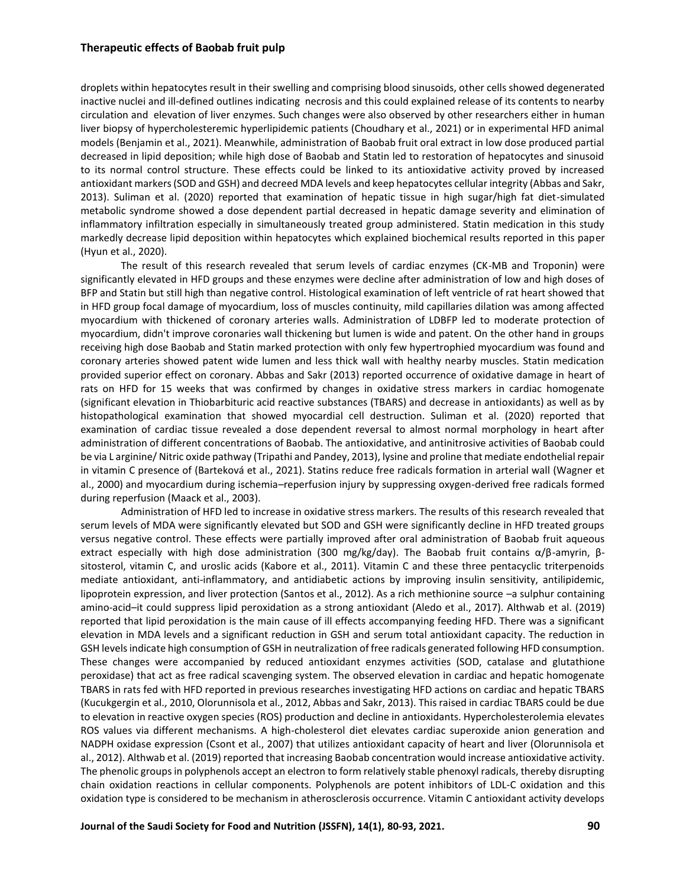droplets within hepatocytes result in their swelling and comprising blood sinusoids, other cells showed degenerated inactive nuclei and ill-defined outlines indicating necrosis and this could explained release of its contents to nearby circulation and elevation of liver enzymes. Such changes were also observed by other researchers either in human liver biopsy of hypercholesteremic hyperlipidemic patients (Choudhary et al., 2021) or in experimental HFD animal models (Benjamin et al., 2021). Meanwhile, administration of Baobab fruit oral extract in low dose produced partial decreased in lipid deposition; while high dose of Baobab and Statin led to restoration of hepatocytes and sinusoid to its normal control structure. These effects could be linked to its antioxidative activity proved by increased antioxidant markers (SOD and GSH) and decreed MDA levels and keep hepatocytes cellular integrity (Abbas and Sakr, 2013). Suliman et al. (2020) reported that examination of hepatic tissue in high sugar/high fat diet-simulated metabolic syndrome showed a dose dependent partial decreased in hepatic damage severity and elimination of inflammatory infiltration especially in simultaneously treated group administered. Statin medication in this study markedly decrease lipid deposition within hepatocytes which explained biochemical results reported in this paper (Hyun et al., 2020).

The result of this research revealed that serum levels of cardiac enzymes (CK-MB and Troponin) were significantly elevated in HFD groups and these enzymes were decline after administration of low and high doses of BFP and Statin but still high than negative control. Histological examination of left ventricle of rat heart showed that in HFD group focal damage of myocardium, loss of muscles continuity, mild capillaries dilation was among affected myocardium with thickened of coronary arteries walls. Administration of LDBFP led to moderate protection of myocardium, didn't improve coronaries wall thickening but lumen is wide and patent. On the other hand in groups receiving high dose Baobab and Statin marked protection with only few hypertrophied myocardium was found and coronary arteries showed patent wide lumen and less thick wall with healthy nearby muscles. Statin medication provided superior effect on coronary. Abbas and Sakr (2013) reported occurrence of oxidative damage in heart of rats on HFD for 15 weeks that was confirmed by changes in oxidative stress markers in cardiac homogenate (significant elevation in Thiobarbituric acid reactive substances (TBARS) and decrease in antioxidants) as well as by histopathological examination that showed myocardial cell destruction. Suliman et al. (2020) reported that examination of cardiac tissue revealed a dose dependent reversal to almost normal morphology in heart after administration of different concentrations of Baobab. The antioxidative, and antinitrosive activities of Baobab could be via L arginine/ Nitric oxide pathway (Tripathi and Pandey, 2013), lysine and proline that mediate endothelial repair in vitamin C presence of (Barteková et al., 2021). Statins reduce free radicals formation in arterial wall (Wagner et al., 2000) and myocardium during ischemia–reperfusion injury by suppressing oxygen-derived free radicals formed during reperfusion (Maack et al., 2003).

Administration of HFD led to increase in oxidative stress markers. The results of this research revealed that serum levels of MDA were significantly elevated but SOD and GSH were significantly decline in HFD treated groups versus negative control. These effects were partially improved after oral administration of Baobab fruit aqueous extract especially with high dose administration (300 mg/kg/day). The Baobab fruit contains α/β-amyrin, βsitosterol, vitamin C, and uroslic acids (Kabore et al., 2011). Vitamin C and these three pentacyclic triterpenoids mediate antioxidant, anti-inflammatory, and antidiabetic actions by improving insulin sensitivity, antilipidemic, lipoprotein expression, and liver protection (Santos et al., 2012). As a rich methionine source –a sulphur containing amino-acid–it could suppress lipid peroxidation as a strong antioxidant (Aledo et al., 2017). Althwab et al. (2019) reported that lipid peroxidation is the main cause of ill effects accompanying feeding HFD. There was a significant elevation in MDA levels and a significant reduction in GSH and serum total antioxidant capacity. The reduction in GSH levels indicate high consumption of GSH in neutralization of free radicals generated following HFD consumption. These changes were accompanied by reduced antioxidant enzymes activities (SOD, catalase and glutathione peroxidase) that act as free radical scavenging system. The observed elevation in cardiac and hepatic homogenate TBARS in rats fed with HFD reported in previous researches investigating HFD actions on cardiac and hepatic TBARS (Kucukgergin et al., 2010, Olorunnisola et al., 2012, Abbas and Sakr, 2013). This raised in cardiac TBARS could be due to elevation in reactive oxygen species (ROS) production and decline in antioxidants. Hypercholesterolemia elevates ROS values via different mechanisms. A high-cholesterol diet elevates cardiac superoxide anion generation and NADPH oxidase expression (Csont et al., 2007) that utilizes antioxidant capacity of heart and liver (Olorunnisola et al., 2012). Althwab et al. (2019) reported that increasing Baobab concentration would increase antioxidative activity. The phenolic groups in polyphenols accept an electron to form relatively stable phenoxyl radicals, thereby disrupting chain oxidation reactions in cellular components. Polyphenols are potent inhibitors of LDL-C oxidation and this oxidation type is considered to be mechanism in atherosclerosis occurrence. Vitamin C antioxidant activity develops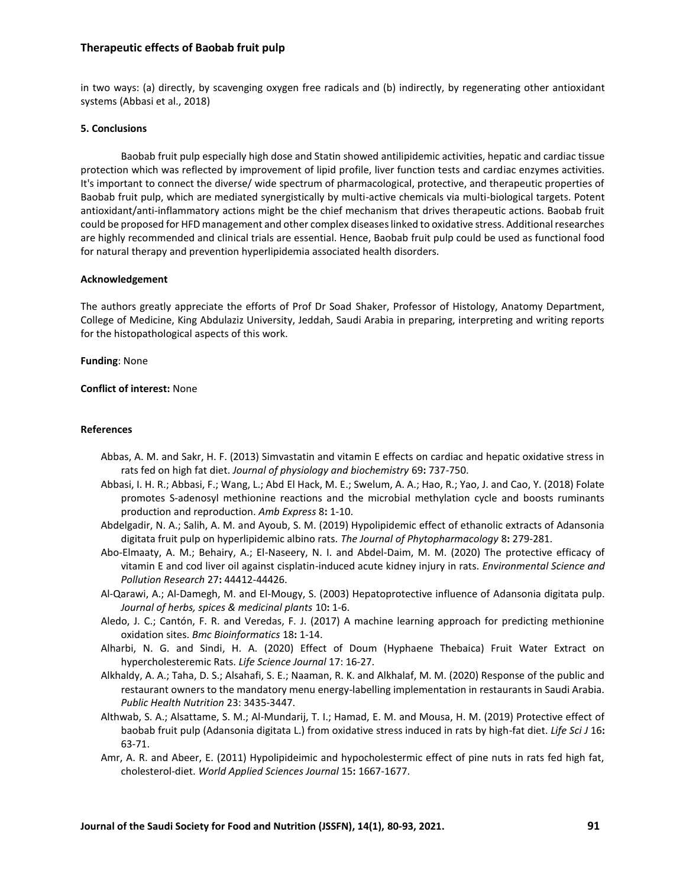in two ways: (a) directly, by scavenging oxygen free radicals and (b) indirectly, by regenerating other antioxidant systems (Abbasi et al., 2018)

#### **5. Conclusions**

Baobab fruit pulp especially high dose and Statin showed antilipidemic activities, hepatic and cardiac tissue protection which was reflected by improvement of lipid profile, liver function tests and cardiac enzymes activities. It's important to connect the diverse/ wide spectrum of pharmacological, protective, and therapeutic properties of Baobab fruit pulp, which are mediated synergistically by multi-active chemicals via multi-biological targets. Potent antioxidant/anti-inflammatory actions might be the chief mechanism that drives therapeutic actions. Baobab fruit could be proposed for HFD management and other complex diseases linked to oxidative stress. Additional researches are highly recommended and clinical trials are essential. Hence, Baobab fruit pulp could be used as functional food for natural therapy and prevention hyperlipidemia associated health disorders.

#### **Acknowledgement**

The authors greatly appreciate the efforts of Prof Dr Soad Shaker, Professor of Histology, Anatomy Department, College of Medicine, King Abdulaziz University, Jeddah, Saudi Arabia in preparing, interpreting and writing reports for the histopathological aspects of this work.

**Funding**: None

**Conflict of interest:** None

#### **References**

- Abbas, A. M. and Sakr, H. F. (2013) Simvastatin and vitamin E effects on cardiac and hepatic oxidative stress in rats fed on high fat diet. *Journal of physiology and biochemistry* 69**:** 737-750.
- Abbasi, I. H. R.; Abbasi, F.; Wang, L.; Abd El Hack, M. E.; Swelum, A. A.; Hao, R.; Yao, J. and Cao, Y. (2018) Folate promotes S-adenosyl methionine reactions and the microbial methylation cycle and boosts ruminants production and reproduction. *Amb Express* 8**:** 1-10.
- Abdelgadir, N. A.; Salih, A. M. and Ayoub, S. M. (2019) Hypolipidemic effect of ethanolic extracts of Adansonia digitata fruit pulp on hyperlipidemic albino rats. *The Journal of Phytopharmacology* 8**:** 279-281.
- Abo-Elmaaty, A. M.; Behairy, A.; El-Naseery, N. I. and Abdel-Daim, M. M. (2020) The protective efficacy of vitamin E and cod liver oil against cisplatin-induced acute kidney injury in rats. *Environmental Science and Pollution Research* 27**:** 44412-44426.
- Al-Qarawi, A.; Al-Damegh, M. and El-Mougy, S. (2003) Hepatoprotective influence of Adansonia digitata pulp. *Journal of herbs, spices & medicinal plants* 10**:** 1-6.
- Aledo, J. C.; Cantón, F. R. and Veredas, F. J. (2017) A machine learning approach for predicting methionine oxidation sites. *Bmc Bioinformatics* 18**:** 1-14.
- Alharbi, N. G. and Sindi, H. A. (2020) Effect of Doum (Hyphaene Thebaica) Fruit Water Extract on hypercholesteremic Rats. *Life Science Journal* 17: 16-27.
- Alkhaldy, A. A.; Taha, D. S.; Alsahafi, S. E.; Naaman, R. K. and Alkhalaf, M. M. (2020) Response of the public and restaurant owners to the mandatory menu energy-labelling implementation in restaurants in Saudi Arabia. *Public Health Nutrition* 23: 3435-3447.
- Althwab, S. A.; Alsattame, S. M.; Al-Mundarij, T. I.; Hamad, E. M. and Mousa, H. M. (2019) Protective effect of baobab fruit pulp (Adansonia digitata L.) from oxidative stress induced in rats by high-fat diet. *Life Sci J* 16**:** 63-71.
- Amr, A. R. and Abeer, E. (2011) Hypolipideimic and hypocholestermic effect of pine nuts in rats fed high fat, cholesterol-diet. *World Applied Sciences Journal* 15**:** 1667-1677.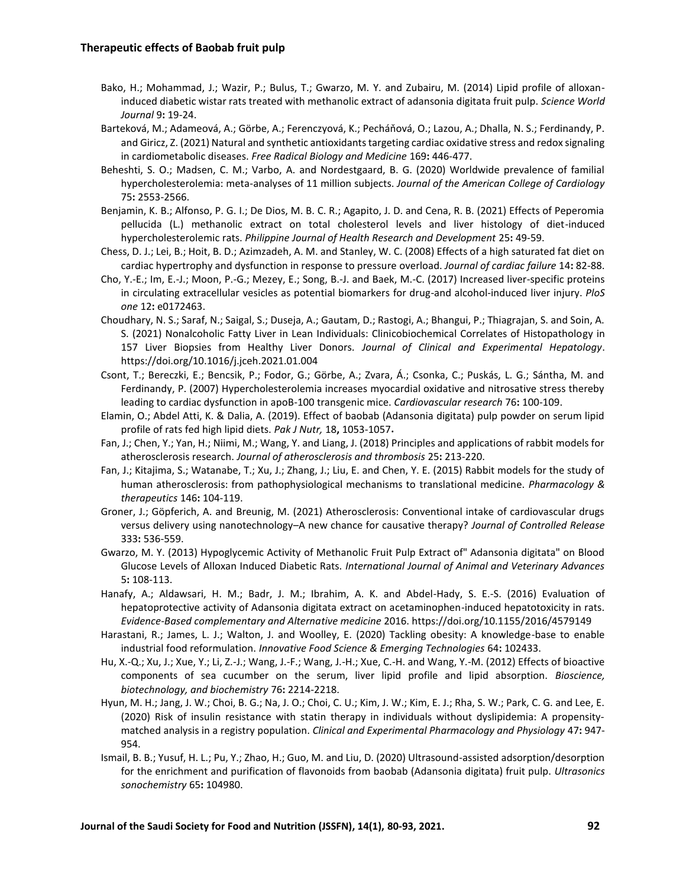- Bako, H.; Mohammad, J.; Wazir, P.; Bulus, T.; Gwarzo, M. Y. and Zubairu, M. (2014) Lipid profile of alloxaninduced diabetic wistar rats treated with methanolic extract of adansonia digitata fruit pulp. *Science World Journal* 9**:** 19-24.
- Barteková, M.; Adameová, A.; Görbe, A.; Ferenczyová, K.; Pecháňová, O.; Lazou, A.; Dhalla, N. S.; Ferdinandy, P. and Giricz, Z. (2021) Natural and synthetic antioxidants targeting cardiac oxidative stress and redox signaling in cardiometabolic diseases. *Free Radical Biology and Medicine* 169**:** 446-477.
- Beheshti, S. O.; Madsen, C. M.; Varbo, A. and Nordestgaard, B. G. (2020) Worldwide prevalence of familial hypercholesterolemia: meta-analyses of 11 million subjects. *Journal of the American College of Cardiology* 75**:** 2553-2566.
- Benjamin, K. B.; Alfonso, P. G. I.; De Dios, M. B. C. R.; Agapito, J. D. and Cena, R. B. (2021) Effects of Peperomia pellucida (L.) methanolic extract on total cholesterol levels and liver histology of diet-induced hypercholesterolemic rats. *Philippine Journal of Health Research and Development* 25**:** 49-59.
- Chess, D. J.; Lei, B.; Hoit, B. D.; Azimzadeh, A. M. and Stanley, W. C. (2008) Effects of a high saturated fat diet on cardiac hypertrophy and dysfunction in response to pressure overload. *Journal of cardiac failure* 14**:** 82-88.
- Cho, Y.-E.; Im, E.-J.; Moon, P.-G.; Mezey, E.; Song, B.-J. and Baek, M.-C. (2017) Increased liver-specific proteins in circulating extracellular vesicles as potential biomarkers for drug-and alcohol-induced liver injury. *PloS one* 12**:** e0172463.
- Choudhary, N. S.; Saraf, N.; Saigal, S.; Duseja, A.; Gautam, D.; Rastogi, A.; Bhangui, P.; Thiagrajan, S. and Soin, A. S. (2021) Nonalcoholic Fatty Liver in Lean Individuals: Clinicobiochemical Correlates of Histopathology in 157 Liver Biopsies from Healthy Liver Donors. *Journal of Clinical and Experimental Hepatology*. https://doi.org/10.1016/j.jceh.2021.01.004
- Csont, T.; Bereczki, E.; Bencsik, P.; Fodor, G.; Görbe, A.; Zvara, Á.; Csonka, C.; Puskás, L. G.; Sántha, M. and Ferdinandy, P. (2007) Hypercholesterolemia increases myocardial oxidative and nitrosative stress thereby leading to cardiac dysfunction in apoB-100 transgenic mice. *Cardiovascular research* 76**:** 100-109.
- Elamin, O.; Abdel Atti, K. & Dalia, A. (2019). Effect of baobab (Adansonia digitata) pulp powder on serum lipid profile of rats fed high lipid diets. *Pak J Nutr,* 18**,** 1053-1057**.**
- Fan, J.; Chen, Y.; Yan, H.; Niimi, M.; Wang, Y. and Liang, J. (2018) Principles and applications of rabbit models for atherosclerosis research. *Journal of atherosclerosis and thrombosis* 25**:** 213-220.
- Fan, J.; Kitajima, S.; Watanabe, T.; Xu, J.; Zhang, J.; Liu, E. and Chen, Y. E. (2015) Rabbit models for the study of human atherosclerosis: from pathophysiological mechanisms to translational medicine. *Pharmacology & therapeutics* 146**:** 104-119.
- Groner, J.; Göpferich, A. and Breunig, M. (2021) Atherosclerosis: Conventional intake of cardiovascular drugs versus delivery using nanotechnology–A new chance for causative therapy? *Journal of Controlled Release* 333**:** 536-559.
- Gwarzo, M. Y. (2013) Hypoglycemic Activity of Methanolic Fruit Pulp Extract of" Adansonia digitata" on Blood Glucose Levels of Alloxan Induced Diabetic Rats. *International Journal of Animal and Veterinary Advances* 5**:** 108-113.
- Hanafy, A.; Aldawsari, H. M.; Badr, J. M.; Ibrahim, A. K. and Abdel-Hady, S. E.-S. (2016) Evaluation of hepatoprotective activity of Adansonia digitata extract on acetaminophen-induced hepatotoxicity in rats. *Evidence-Based complementary and Alternative medicine* 2016. https://doi.org/10.1155/2016/4579149
- Harastani, R.; James, L. J.; Walton, J. and Woolley, E. (2020) Tackling obesity: A knowledge-base to enable industrial food reformulation. *Innovative Food Science & Emerging Technologies* 64**:** 102433.
- Hu, X.-Q.; Xu, J.; Xue, Y.; Li, Z.-J.; Wang, J.-F.; Wang, J.-H.; Xue, C.-H. and Wang, Y.-M. (2012) Effects of bioactive components of sea cucumber on the serum, liver lipid profile and lipid absorption. *Bioscience, biotechnology, and biochemistry* 76**:** 2214-2218.
- Hyun, M. H.; Jang, J. W.; Choi, B. G.; Na, J. O.; Choi, C. U.; Kim, J. W.; Kim, E. J.; Rha, S. W.; Park, C. G. and Lee, E. (2020) Risk of insulin resistance with statin therapy in individuals without dyslipidemia: A propensity‐ matched analysis in a registry population. *Clinical and Experimental Pharmacology and Physiology* 47**:** 947- 954.
- Ismail, B. B.; Yusuf, H. L.; Pu, Y.; Zhao, H.; Guo, M. and Liu, D. (2020) Ultrasound-assisted adsorption/desorption for the enrichment and purification of flavonoids from baobab (Adansonia digitata) fruit pulp. *Ultrasonics sonochemistry* 65**:** 104980.